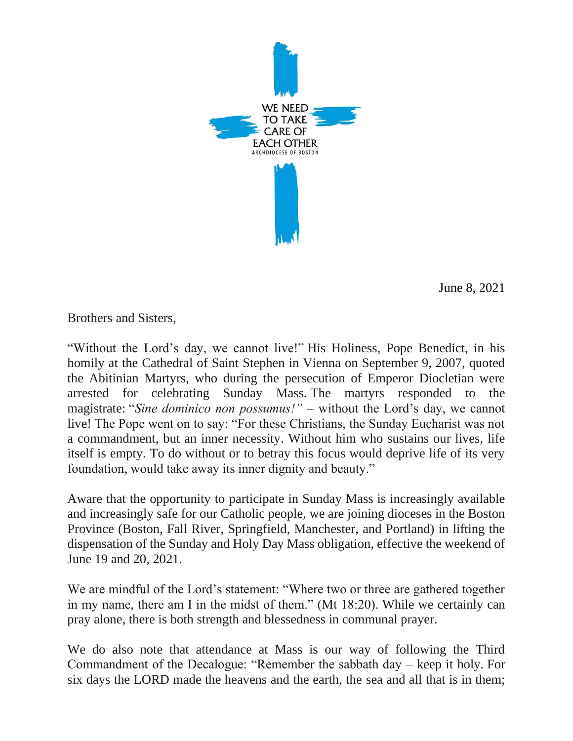

June 8, 2021

Brothers and Sisters,

"Without the Lord's day, we cannot live!" His Holiness, Pope Benedict, in his homily at the Cathedral of Saint Stephen in Vienna on September 9, 2007, quoted the Abitinian Martyrs, who during the persecution of Emperor Diocletian were arrested for celebrating Sunday Mass. The martyrs responded to the magistrate: "*Sine dominico non possumus!"* – without the Lord's day, we cannot live! The Pope went on to say: "For these Christians, the Sunday Eucharist was not a commandment, but an inner necessity. Without him who sustains our lives, life itself is empty. To do without or to betray this focus would deprive life of its very foundation, would take away its inner dignity and beauty."

Aware that the opportunity to participate in Sunday Mass is increasingly available and increasingly safe for our Catholic people, we are joining dioceses in the Boston Province (Boston, Fall River, Springfield, Manchester, and Portland) in lifting the dispensation of the Sunday and Holy Day Mass obligation, effective the weekend of June 19 and 20, 2021.

We are mindful of the Lord's statement: "Where two or three are gathered together in my name, there am I in the midst of them." (Mt 18:20). While we certainly can pray alone, there is both strength and blessedness in communal prayer.

We do also note that attendance at Mass is our way of following the Third Commandment of the Decalogue: "Remember the sabbath day – keep it holy. For six days the LORD made the heavens and the earth, the sea and all that is in them;